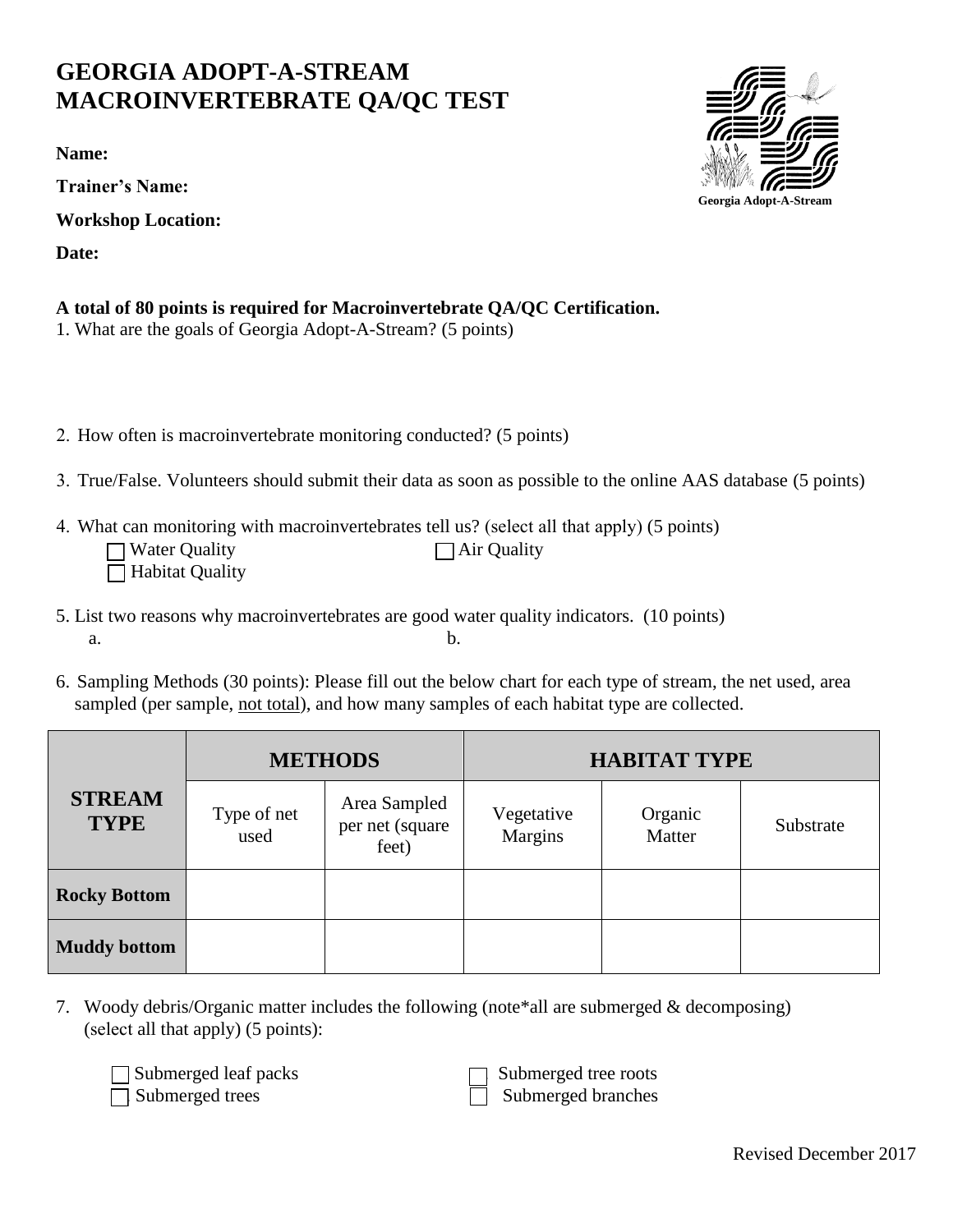## **GEORGIA ADOPT-A-STREAM MACROINVERTEBRATE QA/QC TEST**

**Name:** 

**Trainer's Name:**

**Workshop Location:** 

**Date:**

**Georgia Adopt-A-Stream**

|  |  | A total of 80 points is required for Macroinvertebrate QA/QC Certification. |  |
|--|--|-----------------------------------------------------------------------------|--|
|--|--|-----------------------------------------------------------------------------|--|

- 1. What are the goals of Georgia Adopt-A-Stream? (5 points)
- 2. How often is macroinvertebrate monitoring conducted? (5 points)
- 3. True/False. Volunteers should submit their data as soon as possible to the online AAS database (5 points)

 $\Box$  Air Quality

4. What can monitoring with macroinvertebrates tell us? (select all that apply) (5 points)

| $\Box$ Water Quality   |  |
|------------------------|--|
| $\Box$ Habitat Quality |  |

- 5. List two reasons why macroinvertebrates are good water quality indicators. (10 points)  $a.$  b.
- 6. Sampling Methods (30 points): Please fill out the below chart for each type of stream, the net used, area sampled (per sample, not total), and how many samples of each habitat type are collected.

|                              | <b>METHODS</b>      |                                          | <b>HABITAT TYPE</b>   |                   |           |
|------------------------------|---------------------|------------------------------------------|-----------------------|-------------------|-----------|
| <b>STREAM</b><br><b>TYPE</b> | Type of net<br>used | Area Sampled<br>per net (square<br>feet) | Vegetative<br>Margins | Organic<br>Matter | Substrate |
| <b>Rocky Bottom</b>          |                     |                                          |                       |                   |           |
| <b>Muddy bottom</b>          |                     |                                          |                       |                   |           |

7. Woody debris/Organic matter includes the following (note\*all are submerged & decomposing) (select all that apply) (5 points):

| $\Box$ Submerged leaf p  |  |
|--------------------------|--|
| $\sqcap$ Submerged trees |  |

■ Submerged leaf packs<br>
■ Submerged tree roots<br>
■ Submerged branches<br>
Submerged branches Submerged branches